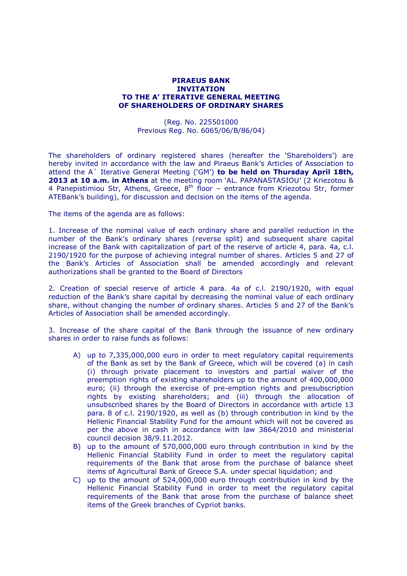## **PIRAEUS BANK INVITATION TO THE A' ITERATIVE GENERAL MEETING OF SHAREHOLDERS OF ORDINARY SHARES**

(Reg. No. 225501000 Previous Reg. No. 6065/06/Β/86/04)

The shareholders of ordinary registered shares (hereafter the "Shareholders") are hereby invited in accordance with the law and Piraeus Bank's Articles of Association to attend the A΄ Iterative General Meeting ("GM") **to be held on Thursday April 18th, 2013 at 10 a.m. in Athens** at the meeting room "AL. PAPANASTASIOU" (2 Kriezotou & 4 Panepistimiou Str, Athens, Greece,  $8<sup>th</sup>$  floor – entrance from Kriezotou Str, former ATEΒank"s building), for discussion and decision on the items of the agenda.

The items of the agenda are as follows:

1. Increase of the nominal value of each ordinary share and parallel reduction in the number of the Bank"s ordinary shares (reverse split) and subsequent share capital increase of the Bank with capitalization of part of the reserve of article 4, para. 4a, c.l. 2190/1920 for the purpose of achieving integral number of shares. Articles 5 and 27 of the Bank"s Articles of Association shall be amended accordingly and relevant authorizations shall be granted to the Board of Directors

2. Creation of special reserve of article 4 para. 4a of c.l. 2190/1920, with equal reduction of the Bank"s share capital by decreasing the nominal value of each ordinary share, without changing the number of ordinary shares. Articles 5 and 27 of the Bank"s Articles of Association shall be amended accordingly.

3. Increase of the share capital of the Bank through the issuance of new ordinary shares in order to raise funds as follows:

- A) up to 7,335,000,000 euro in order to meet regulatory capital requirements of the Bank as set by the Bank of Greece, which will be covered (a) in cash (i) through private placement to investors and partial waiver of the preemption rights of existing shareholders up to the amount of 400,000,000 euro; (ii) through the exercise of pre-emption rights and presubscription rights by existing shareholders; and (iii) through the allocation of unsubscribed shares by the Board of Directors in accordance with article 13 para. 8 of c.l. 2190/1920, as well as (b) through contribution in kind by the Hellenic Financial Stability Fund for the amount which will not be covered as per the above in cash in accordance with law 3864/2010 and ministerial council decision 38/9.11.2012.
- B) up to the amount of 570,000,000 euro through contribution in kind by the Hellenic Financial Stability Fund in order to meet the regulatory capital requirements of the Bank that arose from the purchase of balance sheet items of Agricultural Bank of Greece S.A. under special liquidation; and
- C) up to the amount of 524,000,000 euro through contribution in kind by the Hellenic Financial Stability Fund in order to meet the regulatory capital requirements of the Bank that arose from the purchase of balance sheet items of the Greek branches of Cypriot banks.